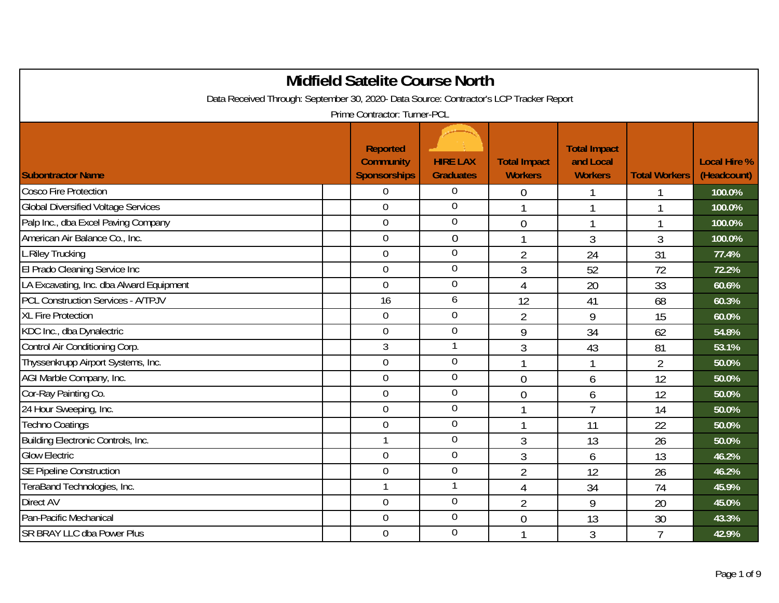|                                                                                         | <b>Midfield Satelite Course North</b>                      |                                     |                                       |                                                    |                      |                                    |
|-----------------------------------------------------------------------------------------|------------------------------------------------------------|-------------------------------------|---------------------------------------|----------------------------------------------------|----------------------|------------------------------------|
| Data Received Through: September 30, 2020- Data Source: Contractor's LCP Tracker Report |                                                            |                                     |                                       |                                                    |                      |                                    |
|                                                                                         | Prime Contractor: Turner-PCL                               |                                     |                                       |                                                    |                      |                                    |
| <b>Subontractor Name</b>                                                                | <b>Reported</b><br><b>Community</b><br><b>Sponsorships</b> | <b>HIRE LAX</b><br><b>Graduates</b> | <b>Total Impact</b><br><b>Workers</b> | <b>Total Impact</b><br>and Local<br><b>Workers</b> | <b>Total Workers</b> | <b>Local Hire %</b><br>(Headcount) |
| <b>Cosco Fire Protection</b>                                                            | $\Omega$                                                   | 0                                   | $\overline{0}$                        |                                                    |                      | 100.0%                             |
| <b>Global Diversified Voltage Services</b>                                              | $\overline{0}$                                             | $\overline{0}$                      | 1                                     | 1                                                  | 1                    | 100.0%                             |
| Palp Inc., dba Excel Paving Company                                                     | $\mathbf 0$                                                | $\boldsymbol{0}$                    | $\overline{0}$                        | $\mathbf{1}$                                       | 1                    | 100.0%                             |
| American Air Balance Co., Inc.                                                          | $\mathbf 0$                                                | $\overline{0}$                      |                                       | 3                                                  | 3                    | 100.0%                             |
| L.Riley Trucking                                                                        | $\mathbf 0$                                                | $\overline{0}$                      | $\overline{2}$                        | 24                                                 | 31                   | 77.4%                              |
| El Prado Cleaning Service Inc                                                           | $\mathbf 0$                                                | $\overline{0}$                      | 3                                     | 52                                                 | 72                   | 72.2%                              |
| LA Excavating, Inc. dba Alward Equipment                                                | $\mathbf 0$                                                | $\mathbf 0$                         | $\overline{4}$                        | 20                                                 | 33                   | 60.6%                              |
| <b>PCL Construction Services - A/TPJV</b>                                               | 16                                                         | 6                                   | 12                                    | 41                                                 | 68                   | 60.3%                              |
| XL Fire Protection                                                                      | $\overline{0}$                                             | $\overline{0}$                      | $\overline{2}$                        | 9                                                  | 15                   | 60.0%                              |
| KDC Inc., dba Dynalectric                                                               | $\Omega$                                                   | $\overline{0}$                      | 9                                     | 34                                                 | 62                   | 54.8%                              |
| Control Air Conditioning Corp.                                                          | 3                                                          |                                     | 3                                     | 43                                                 | 81                   | 53.1%                              |
| Thyssenkrupp Airport Systems, Inc.                                                      | $\overline{0}$                                             | $\mathbf 0$                         |                                       |                                                    | $\overline{2}$       | 50.0%                              |
| AGI Marble Company, Inc.                                                                | $\overline{0}$                                             | $\mathbf 0$                         | $\overline{0}$                        | 6                                                  | 12                   | 50.0%                              |
| Cor-Ray Painting Co.                                                                    | $\overline{0}$                                             | $\overline{0}$                      | $\overline{0}$                        | 6                                                  | 12                   | 50.0%                              |
| 24 Hour Sweeping, Inc.                                                                  | $\overline{0}$                                             | $\mathbf 0$                         | 1                                     | $\overline{7}$                                     | 14                   | 50.0%                              |
| <b>Techno Coatings</b>                                                                  | $\mathbf 0$                                                | $\overline{0}$                      |                                       | 11                                                 | 22                   | 50.0%                              |
| Building Electronic Controls, Inc.                                                      | $\mathbf{1}$                                               | $\mathbf 0$                         | 3                                     | 13                                                 | 26                   | 50.0%                              |
| <b>Glow Electric</b>                                                                    | $\overline{0}$                                             | $\overline{0}$                      | 3                                     | 6                                                  | 13                   | 46.2%                              |
| <b>SE Pipeline Construction</b>                                                         | $\theta$                                                   | $\mathbf 0$                         | $\overline{2}$                        | 12                                                 | 26                   | 46.2%                              |
| TeraBand Technologies, Inc.                                                             |                                                            |                                     | 4                                     | 34                                                 | 74                   | 45.9%                              |
| Direct AV                                                                               | $\mathbf 0$                                                | $\boldsymbol{0}$                    | $\overline{2}$                        | 9                                                  | 20                   | 45.0%                              |
| Pan-Pacific Mechanical                                                                  | $\mathbf 0$                                                | $\boldsymbol{0}$                    | $\overline{0}$                        | 13                                                 | 30                   | 43.3%                              |
| <b>SR BRAY LLC dba Power Plus</b>                                                       | $\mathbf 0$                                                | $\mathbf 0$                         |                                       | 3                                                  | $\overline{7}$       | 42.9%                              |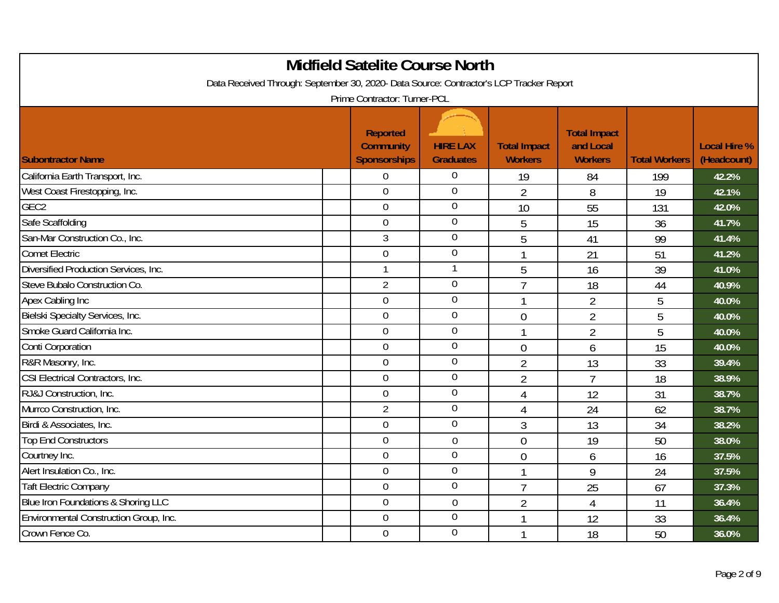|                                                                                         | <b>Midfield Satelite Course North</b>                      |                                     |                                       |                                                    |                      |                                    |
|-----------------------------------------------------------------------------------------|------------------------------------------------------------|-------------------------------------|---------------------------------------|----------------------------------------------------|----------------------|------------------------------------|
| Data Received Through: September 30, 2020- Data Source: Contractor's LCP Tracker Report | Prime Contractor: Turner-PCL                               |                                     |                                       |                                                    |                      |                                    |
| <b>Subontractor Name</b>                                                                | <b>Reported</b><br><b>Community</b><br><b>Sponsorships</b> | <b>HIRE LAX</b><br><b>Graduates</b> | <b>Total Impact</b><br><b>Workers</b> | <b>Total Impact</b><br>and Local<br><b>Workers</b> | <b>Total Workers</b> | <b>Local Hire %</b><br>(Headcount) |
| California Earth Transport, Inc.                                                        | $\overline{0}$                                             | $\overline{0}$                      | 19                                    | 84                                                 | 199                  | 42.2%                              |
| West Coast Firestopping, Inc.                                                           | $\overline{0}$                                             | $\mathbf 0$                         | $\overline{2}$                        | 8                                                  | 19                   | 42.1%                              |
| GEC <sub>2</sub>                                                                        | $\overline{0}$                                             | $\mathbf 0$                         | 10                                    | 55                                                 | 131                  | 42.0%                              |
| Safe Scaffolding                                                                        | $\mathbf 0$                                                | $\boldsymbol{0}$                    | 5                                     | 15                                                 | 36                   | 41.7%                              |
| San-Mar Construction Co., Inc.                                                          | $\mathfrak{Z}$                                             | $\mathbf 0$                         | 5                                     | 41                                                 | 99                   | 41.4%                              |
| <b>Comet Electric</b>                                                                   | $\overline{0}$                                             | $\overline{0}$                      |                                       | 21                                                 | 51                   | 41.2%                              |
| Diversified Production Services, Inc.                                                   |                                                            |                                     | 5                                     | 16                                                 | 39                   | 41.0%                              |
| Steve Bubalo Construction Co.                                                           | $\overline{2}$                                             | $\mathbf 0$                         | $\overline{7}$                        | 18                                                 | 44                   | 40.9%                              |
| Apex Cabling Inc                                                                        | $\overline{0}$                                             | $\overline{0}$                      | $\mathbf{1}$                          | $\overline{2}$                                     | 5                    | 40.0%                              |
| Bielski Specialty Services, Inc.                                                        | $\mathbf 0$                                                | $\boldsymbol{0}$                    | $\overline{0}$                        | $\overline{2}$                                     | 5                    | 40.0%                              |
| Smoke Guard California Inc.                                                             | $\overline{0}$                                             | $\mathbf 0$                         | $\mathbf{1}$                          | $\overline{2}$                                     | 5                    | 40.0%                              |
| Conti Corporation                                                                       | $\overline{0}$                                             | $\overline{0}$                      | $\overline{0}$                        | 6                                                  | 15                   | 40.0%                              |
| R&R Masonry, Inc.                                                                       | $\overline{0}$                                             | $\mathbf 0$                         | $\overline{2}$                        | 13                                                 | 33                   | 39.4%                              |
| CSI Electrical Contractors, Inc.                                                        | $\mathbf 0$                                                | $\mathbf 0$                         | $\overline{2}$                        | $\overline{7}$                                     | 18                   | 38.9%                              |
| RJ&J Construction, Inc.                                                                 | $\overline{0}$                                             | $\mathbf 0$                         | $\overline{4}$                        | 12                                                 | 31                   | 38.7%                              |
| Murrco Construction, Inc.                                                               | $\overline{2}$                                             | $\overline{0}$                      | $\overline{4}$                        | 24                                                 | 62                   | 38.7%                              |
| Birdi & Associates, Inc.                                                                | $\overline{0}$                                             | $\mathbf 0$                         | $\mathfrak{Z}$                        | 13                                                 | 34                   | 38.2%                              |
| Top End Constructors                                                                    | $\mathbf 0$                                                | $\mathbf 0$                         | $\overline{0}$                        | 19                                                 | 50                   | 38.0%                              |
| Courtney Inc.                                                                           | $\overline{0}$                                             | $\overline{0}$                      | $\overline{0}$                        | 6                                                  | 16                   | 37.5%                              |
| Alert Insulation Co., Inc.                                                              | $\overline{0}$                                             | $\mathbf 0$                         | $\mathbf{1}$                          | 9                                                  | 24                   | 37.5%                              |
| <b>Taft Electric Company</b>                                                            | $\overline{0}$                                             | $\mathbf 0$                         | $\overline{7}$                        | 25                                                 | 67                   | 37.3%                              |
| Blue Iron Foundations & Shoring LLC                                                     | $\overline{0}$                                             | $\overline{0}$                      | $\overline{2}$                        | 4                                                  | 11                   | 36.4%                              |
| Environmental Construction Group, Inc.                                                  | $\mathbf 0$                                                | $\mathbf 0$                         |                                       | 12                                                 | 33                   | 36.4%                              |
| Crown Fence Co.                                                                         | $\mathbf 0$                                                | $\mathbf 0$                         | 1                                     | 18                                                 | 50                   | 36.0%                              |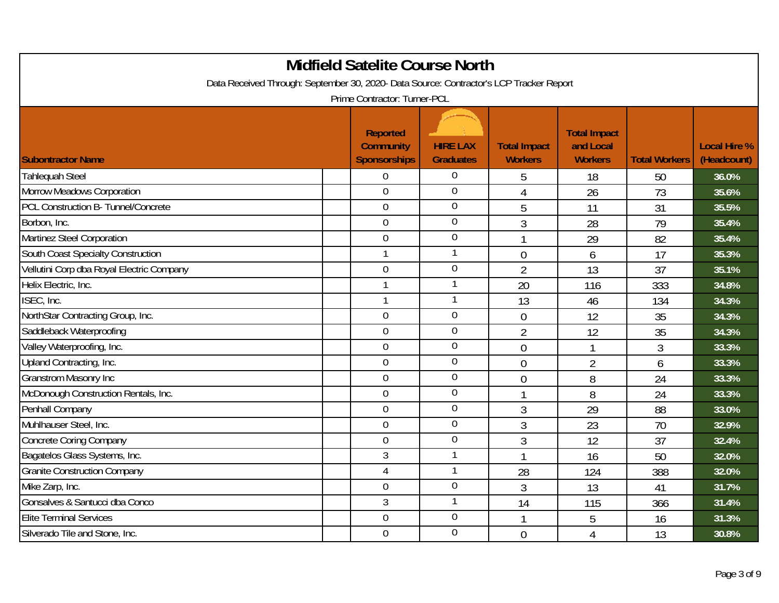|                                                                                         | <b>Midfield Satelite Course North</b>               |                                     |                                       |                                                    |                      |                                    |
|-----------------------------------------------------------------------------------------|-----------------------------------------------------|-------------------------------------|---------------------------------------|----------------------------------------------------|----------------------|------------------------------------|
| Data Received Through: September 30, 2020- Data Source: Contractor's LCP Tracker Report | Prime Contractor: Turner-PCL                        |                                     |                                       |                                                    |                      |                                    |
| <b>Subontractor Name</b>                                                                | Reported<br><b>Community</b><br><b>Sponsorships</b> | <b>HIRE LAX</b><br><b>Graduates</b> | <b>Total Impact</b><br><b>Workers</b> | <b>Total Impact</b><br>and Local<br><b>Workers</b> | <b>Total Workers</b> | <b>Local Hire %</b><br>(Headcount) |
| <b>Tahlequah Steel</b>                                                                  | $\overline{0}$                                      | $\overline{0}$                      | 5                                     | 18                                                 | 50                   | 36.0%                              |
| Morrow Meadows Corporation                                                              | $\overline{0}$                                      | $\mathbf 0$                         | 4                                     | 26                                                 | 73                   | 35.6%                              |
| PCL Construction B- Tunnel/Concrete                                                     | $\overline{0}$                                      | $\mathbf 0$                         | 5                                     | 11                                                 | 31                   | 35.5%                              |
| Borbon, Inc.                                                                            | $\mathbf 0$                                         | $\boldsymbol{0}$                    | 3                                     | 28                                                 | 79                   | 35.4%                              |
| Martinez Steel Corporation                                                              | $\mathbf 0$                                         | $\mathbf 0$                         | $\overline{1}$                        | 29                                                 | 82                   | 35.4%                              |
| South Coast Specialty Construction                                                      |                                                     | $\mathbf{1}$                        | $\overline{0}$                        | 6                                                  | 17                   | 35.3%                              |
| Vellutini Corp dba Royal Electric Company                                               | $\overline{0}$                                      | $\mathbf 0$                         | $\overline{2}$                        | 13                                                 | 37                   | 35.1%                              |
| Helix Electric, Inc.                                                                    |                                                     | 1                                   | 20                                    | 116                                                | 333                  | 34.8%                              |
| ISEC, Inc.                                                                              |                                                     | 1                                   | 13                                    | 46                                                 | 134                  | 34.3%                              |
| NorthStar Contracting Group, Inc.                                                       | $\mathbf 0$                                         | $\boldsymbol{0}$                    | $\overline{0}$                        | 12                                                 | 35                   | 34.3%                              |
| Saddleback Waterproofing                                                                | $\boldsymbol{0}$                                    | $\mathbf 0$                         | $\overline{2}$                        | 12                                                 | 35                   | 34.3%                              |
| Valley Waterproofing, Inc.                                                              | $\overline{0}$                                      | $\mathbf 0$                         | $\overline{0}$                        | 1                                                  | 3                    | 33.3%                              |
| Upland Contracting, Inc.                                                                | $\overline{0}$                                      | $\overline{0}$                      | $\overline{0}$                        | 2                                                  | 6                    | 33.3%                              |
| <b>Granstrom Masonry Inc</b>                                                            | $\overline{0}$                                      | $\mathbf 0$                         | $\overline{0}$                        | 8                                                  | 24                   | 33.3%                              |
| McDonough Construction Rentals, Inc.                                                    | $\overline{0}$                                      | $\mathbf 0$                         | 1                                     | 8                                                  | 24                   | 33.3%                              |
| Penhall Company                                                                         | $\overline{0}$                                      | $\overline{0}$                      | 3                                     | 29                                                 | 88                   | 33.0%                              |
| Muhlhauser Steel, Inc.                                                                  | $\overline{0}$                                      | $\mathbf 0$                         | 3                                     | 23                                                 | 70                   | 32.9%                              |
| <b>Concrete Coring Company</b>                                                          | $\mathbf 0$                                         | $\boldsymbol{0}$                    | 3                                     | 12                                                 | 37                   | 32.4%                              |
| Bagatelos Glass Systems, Inc.                                                           | $\mathfrak{Z}$                                      |                                     |                                       | 16                                                 | 50                   | 32.0%                              |
| <b>Granite Construction Company</b>                                                     | $\overline{4}$                                      | $\mathbf{1}$                        | 28                                    | 124                                                | 388                  | 32.0%                              |
| Mike Zarp, Inc.                                                                         | $\overline{0}$                                      | $\boldsymbol{0}$                    | 3                                     | 13                                                 | 41                   | 31.7%                              |
| Gonsalves & Santucci dba Conco                                                          | $\mathfrak{Z}$                                      | 1                                   | 14                                    | 115                                                | 366                  | 31.4%                              |
| <b>Elite Terminal Services</b>                                                          | $\mathbf 0$                                         | $\overline{0}$                      | $\overline{1}$                        | 5                                                  | 16                   | 31.3%                              |
| Silverado Tile and Stone, Inc.                                                          | $\mathbf 0$                                         | $\mathbf 0$                         | $\overline{0}$                        | 4                                                  | 13                   | 30.8%                              |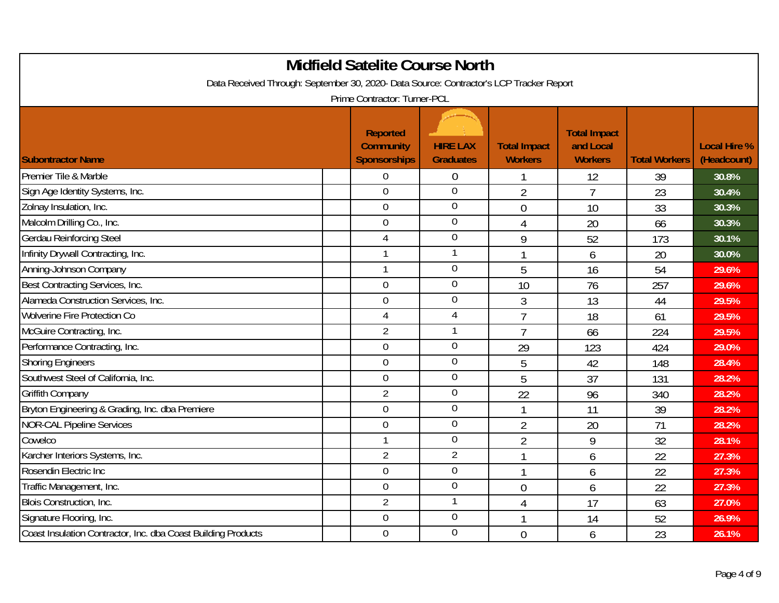|                                                                                         | <b>Midfield Satelite Course North</b>               |                                     |                                       |                                                    |                      |                                    |
|-----------------------------------------------------------------------------------------|-----------------------------------------------------|-------------------------------------|---------------------------------------|----------------------------------------------------|----------------------|------------------------------------|
| Data Received Through: September 30, 2020- Data Source: Contractor's LCP Tracker Report |                                                     |                                     |                                       |                                                    |                      |                                    |
|                                                                                         | Prime Contractor: Turner-PCL                        |                                     |                                       |                                                    |                      |                                    |
| <b>Subontractor Name</b>                                                                | Reported<br><b>Community</b><br><b>Sponsorships</b> | <b>HIRE LAX</b><br><b>Graduates</b> | <b>Total Impact</b><br><b>Workers</b> | <b>Total Impact</b><br>and Local<br><b>Workers</b> | <b>Total Workers</b> | <b>Local Hire %</b><br>(Headcount) |
| Premier Tile & Marble                                                                   | $\overline{0}$                                      | $\boldsymbol{0}$                    |                                       | 12                                                 | 39                   | 30.8%                              |
| Sign Age Identity Systems, Inc.                                                         | $\mathbf 0$                                         | $\mathbf 0$                         | $\overline{2}$                        | 7                                                  | 23                   | 30.4%                              |
| Zolnay Insulation, Inc.                                                                 | $\overline{0}$                                      | $\overline{0}$                      | $\overline{0}$                        | 10                                                 | 33                   | 30.3%                              |
| Malcolm Drilling Co., Inc.                                                              | $\mathbf 0$                                         | $\boldsymbol{0}$                    | 4                                     | 20                                                 | 66                   | 30.3%                              |
| <b>Gerdau Reinforcing Steel</b>                                                         | $\overline{4}$                                      | $\mathbf 0$                         | 9                                     | 52                                                 | 173                  | 30.1%                              |
| Infinity Drywall Contracting, Inc.                                                      |                                                     | $\mathbf{1}$                        | 1                                     | 6                                                  | 20                   | 30.0%                              |
| Anning-Johnson Company                                                                  |                                                     | $\mathbf 0$                         | 5                                     | 16                                                 | 54                   | 29.6%                              |
| Best Contracting Services, Inc.                                                         | $\mathbf 0$                                         | $\mathbf 0$                         | 10                                    | 76                                                 | 257                  | 29.6%                              |
| Alameda Construction Services, Inc.                                                     | $\overline{0}$                                      | $\overline{0}$                      | 3                                     | 13                                                 | 44                   | 29.5%                              |
| <b>Wolverine Fire Protection Co</b>                                                     | 4                                                   | $\overline{4}$                      | $\overline{7}$                        | 18                                                 | 61                   | 29.5%                              |
| McGuire Contracting, Inc.                                                               | $\overline{2}$                                      | 1                                   | $\overline{7}$                        | 66                                                 | 224                  | 29.5%                              |
| Performance Contracting, Inc.                                                           | $\overline{0}$                                      | $\mathbf 0$                         | 29                                    | 123                                                | 424                  | 29.0%                              |
| <b>Shoring Engineers</b>                                                                | $\mathbf 0$                                         | $\mathbf 0$                         | 5                                     | 42                                                 | 148                  | 28.4%                              |
| Southwest Steel of California, Inc.                                                     | $\overline{0}$                                      | $\mathbf 0$                         | 5                                     | 37                                                 | 131                  | 28.2%                              |
| <b>Griffith Company</b>                                                                 | $\overline{2}$                                      | $\mathbf 0$                         | 22                                    | 96                                                 | 340                  | 28.2%                              |
| Bryton Engineering & Grading, Inc. dba Premiere                                         | $\overline{0}$                                      | $\overline{0}$                      | $\mathbf{1}$                          | 11                                                 | 39                   | 28.2%                              |
| <b>NOR-CAL Pipeline Services</b>                                                        | $\mathbf 0$                                         | $\overline{0}$                      | $\overline{2}$                        | 20                                                 | 71                   | 28.2%                              |
| Cowelco                                                                                 |                                                     | $\mathbf 0$                         | $\overline{2}$                        | 9                                                  | 32                   | 28.1%                              |
| Karcher Interiors Systems, Inc.                                                         | $\overline{2}$                                      | $\overline{2}$                      | 1                                     | 6                                                  | 22                   | 27.3%                              |
| Rosendin Electric Inc                                                                   | $\overline{0}$                                      | $\mathbf 0$                         | r                                     | 6                                                  | 22                   | 27.3%                              |
| Traffic Management, Inc.                                                                | $\boldsymbol{0}$                                    | $\mathbf 0$                         | $\overline{0}$                        | 6                                                  | 22                   | 27.3%                              |
| Blois Construction, Inc.                                                                | $\overline{2}$                                      | $\mathbf{1}$                        | $\overline{4}$                        | 17                                                 | 63                   | 27.0%                              |
| Signature Flooring, Inc.                                                                | $\mathbf 0$                                         | $\overline{0}$                      | 1                                     | 14                                                 | 52                   | 26.9%                              |
| Coast Insulation Contractor, Inc. dba Coast Building Products                           | $\overline{0}$                                      | $\mathbf 0$                         | $\overline{0}$                        | 6                                                  | 23                   | 26.1%                              |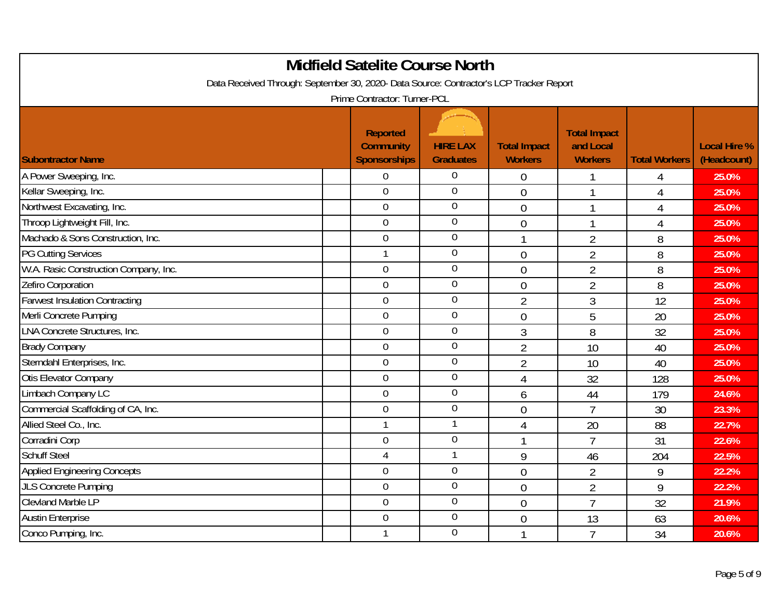|                                                                                         | <b>Midfield Satelite Course North</b>                      |                                     |                                       |                                                    |                      |                                    |
|-----------------------------------------------------------------------------------------|------------------------------------------------------------|-------------------------------------|---------------------------------------|----------------------------------------------------|----------------------|------------------------------------|
| Data Received Through: September 30, 2020- Data Source: Contractor's LCP Tracker Report |                                                            |                                     |                                       |                                                    |                      |                                    |
|                                                                                         | Prime Contractor: Turner-PCL                               |                                     |                                       |                                                    |                      |                                    |
| <b>Subontractor Name</b>                                                                | <b>Reported</b><br><b>Community</b><br><b>Sponsorships</b> | <b>HIRE LAX</b><br><b>Graduates</b> | <b>Total Impact</b><br><b>Workers</b> | <b>Total Impact</b><br>and Local<br><b>Workers</b> | <b>Total Workers</b> | <b>Local Hire %</b><br>(Headcount) |
| A Power Sweeping, Inc.                                                                  | $\mathbf 0$                                                | $\overline{0}$                      | $\overline{0}$                        |                                                    | 4                    | 25.0%                              |
| Kellar Sweeping, Inc.                                                                   | $\overline{0}$                                             | $\overline{0}$                      | $\overline{0}$                        |                                                    | 4                    | 25.0%                              |
| Northwest Excavating, Inc.                                                              | $\overline{0}$                                             | $\overline{0}$                      | $\overline{0}$                        |                                                    | 4                    | 25.0%                              |
| Throop Lightweight Fill, Inc.                                                           | $\mathbf 0$                                                | $\boldsymbol{0}$                    | $\overline{0}$                        |                                                    | $\overline{4}$       | 25.0%                              |
| Machado & Sons Construction, Inc.                                                       | $\mathbf 0$                                                | $\mathbf 0$                         | $\mathbf{1}$                          | $\overline{2}$                                     | 8                    | 25.0%                              |
| <b>PG Cutting Services</b>                                                              | 1                                                          | $\overline{0}$                      | $\overline{0}$                        | $\overline{2}$                                     | 8                    | 25.0%                              |
| W.A. Rasic Construction Company, Inc.                                                   | $\mathbf 0$                                                | $\mathbf 0$                         | $\overline{0}$                        | $\overline{2}$                                     | 8                    | 25.0%                              |
| Zefiro Corporation                                                                      | $\overline{0}$                                             | $\mathbf 0$                         | $\overline{0}$                        | $\overline{2}$                                     | 8                    | 25.0%                              |
| <b>Farwest Insulation Contracting</b>                                                   | $\overline{0}$                                             | $\mathbf 0$                         | $\overline{2}$                        | 3                                                  | 12                   | 25.0%                              |
| Merli Concrete Pumping                                                                  | $\overline{0}$                                             | $\boldsymbol{0}$                    | $\overline{0}$                        | 5                                                  | 20                   | 25.0%                              |
| <b>LNA Concrete Structures, Inc.</b>                                                    | $\mathbf 0$                                                | $\mathbf 0$                         | $\overline{3}$                        | 8                                                  | 32                   | 25.0%                              |
| <b>Brady Company</b>                                                                    | $\mathbf 0$                                                | $\overline{0}$                      | $\overline{2}$                        | 10                                                 | 40                   | 25.0%                              |
| Sterndahl Enterprises, Inc.                                                             | $\overline{0}$                                             | $\mathbf 0$                         | $\overline{2}$                        | 10                                                 | 40                   | 25.0%                              |
| Otis Elevator Company                                                                   | $\mathbf 0$                                                | $\overline{0}$                      | $\overline{4}$                        | 32                                                 | 128                  | 25.0%                              |
| Limbach Company LC                                                                      | $\overline{0}$                                             | $\overline{0}$                      | 6                                     | 44                                                 | 179                  | 24.6%                              |
| Commercial Scaffolding of CA, Inc.                                                      | $\mathbf 0$                                                | $\overline{0}$                      | $\overline{0}$                        | $\overline{7}$                                     | 30                   | 23.3%                              |
| Allied Steel Co., Inc.                                                                  | $\mathbf{1}$                                               |                                     | $\overline{4}$                        | 20                                                 | 88                   | 22.7%                              |
| Corradini Corp                                                                          | $\mathbf 0$                                                | $\boldsymbol{0}$                    | $\mathbf{1}$                          | $\overline{7}$                                     | 31                   | 22.6%                              |
| <b>Schuff Steel</b>                                                                     | $\overline{4}$                                             |                                     | 9                                     | 46                                                 | 204                  | 22.5%                              |
| <b>Applied Engineering Concepts</b>                                                     | $\mathbf 0$                                                | $\mathbf 0$                         | $\overline{0}$                        | $\overline{2}$                                     | 9                    | 22.2%                              |
| <b>JLS Concrete Pumping</b>                                                             | $\overline{0}$                                             | $\mathbf 0$                         | $\overline{0}$                        | $\overline{2}$                                     | 9                    | 22.2%                              |
| <b>Clevland Marble LP</b>                                                               | $\mathbf 0$                                                | $\mathbf 0$                         | $\overline{0}$                        | $\overline{7}$                                     | 32                   | 21.9%                              |
| <b>Austin Enterprise</b>                                                                | 0                                                          | $\mathbf 0$                         | $\overline{0}$                        | 13                                                 | 63                   | 20.6%                              |
| Conco Pumping, Inc.                                                                     | 1                                                          | $\mathbf 0$                         |                                       | $\overline{7}$                                     | 34                   | 20.6%                              |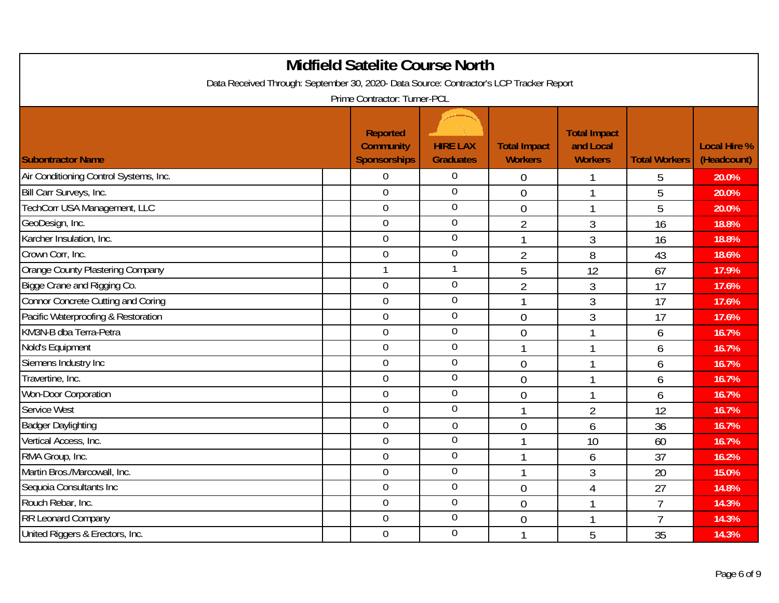|                                                                                         | <b>Midfield Satelite Course North</b>                      |                                     |                                       |                                                    |                      |                                    |
|-----------------------------------------------------------------------------------------|------------------------------------------------------------|-------------------------------------|---------------------------------------|----------------------------------------------------|----------------------|------------------------------------|
| Data Received Through: September 30, 2020- Data Source: Contractor's LCP Tracker Report | Prime Contractor: Turner-PCL                               |                                     |                                       |                                                    |                      |                                    |
| <b>Subontractor Name</b>                                                                | <b>Reported</b><br><b>Community</b><br><b>Sponsorships</b> | <b>HIRE LAX</b><br><b>Graduates</b> | <b>Total Impact</b><br><b>Workers</b> | <b>Total Impact</b><br>and Local<br><b>Workers</b> | <b>Total Workers</b> | <b>Local Hire %</b><br>(Headcount) |
| Air Conditioning Control Systems, Inc.                                                  | $\mathbf 0$                                                | $\overline{0}$                      | $\overline{0}$                        |                                                    | 5                    | 20.0%                              |
| Bill Carr Surveys, Inc.                                                                 | $\overline{0}$                                             | $\mathbf 0$                         | $\mathbf 0$                           | 1                                                  | 5                    | 20.0%                              |
| TechCorr USA Management, LLC                                                            | $\overline{0}$                                             | $\mathbf 0$                         | $\overline{0}$                        | 1                                                  | 5                    | 20.0%                              |
| GeoDesign, Inc.                                                                         | $\overline{0}$                                             | $\mathbf 0$                         | $\overline{2}$                        | 3                                                  | 16                   | 18.8%                              |
| Karcher Insulation, Inc.                                                                | $\mathbf 0$                                                | $\overline{0}$                      | $\mathbf{1}$                          | 3                                                  | 16                   | 18.8%                              |
| Crown Corr, Inc.                                                                        | $\overline{0}$                                             | $\overline{0}$                      | $\overline{2}$                        | 8                                                  | 43                   | 18.6%                              |
| Orange County Plastering Company                                                        |                                                            |                                     | 5                                     | 12                                                 | 67                   | 17.9%                              |
| Bigge Crane and Rigging Co.                                                             | $\overline{0}$                                             | $\mathbf 0$                         | $\overline{2}$                        | 3                                                  | 17                   | 17.6%                              |
| <b>Connor Concrete Cutting and Coring</b>                                               | $\overline{0}$                                             | $\mathbf 0$                         | 1                                     | 3                                                  | 17                   | 17.6%                              |
| Pacific Waterproofing & Restoration                                                     | $\mathbf 0$                                                | $\mathbf 0$                         | $\overline{0}$                        | 3                                                  | 17                   | 17.6%                              |
| KM3N-B dba Terra-Petra                                                                  | $\mathbf 0$                                                | $\mathbf 0$                         | $\overline{0}$                        | $\mathbf{1}$                                       | 6                    | 16.7%                              |
| Nold's Equipment                                                                        | $\mathbf 0$                                                | $\overline{0}$                      | 1                                     | 1                                                  | 6                    | 16.7%                              |
| Siemens Industry Inc                                                                    | $\overline{0}$                                             | $\mathbf 0$                         | $\overline{0}$                        | 1                                                  | 6                    | 16.7%                              |
| Travertine, Inc.                                                                        | $\mathbf 0$                                                | $\overline{0}$                      | $\overline{0}$                        | $\mathbf{1}$                                       | 6                    | 16.7%                              |
| Won-Door Corporation                                                                    | $\mathbf 0$                                                | $\boldsymbol{0}$                    | $\overline{0}$                        | 1                                                  | 6                    | 16.7%                              |
| Service West                                                                            | $\overline{0}$                                             | $\boldsymbol{0}$                    |                                       | $\overline{2}$                                     | 12                   | 16.7%                              |
| <b>Badger Daylighting</b>                                                               | $\overline{0}$                                             | $\overline{0}$                      | $\mathbf 0$                           | 6                                                  | 36                   | 16.7%                              |
| Vertical Access, Inc.                                                                   | $\mathbf 0$                                                | $\overline{0}$                      |                                       | 10                                                 | 60                   | 16.7%                              |
| RMA Group, Inc.                                                                         | $\overline{0}$                                             | $\mathbf 0$                         | $\mathbf{1}$                          | 6                                                  | 37                   | 16.2%                              |
| Martin Bros./Marcowall, Inc.                                                            | $\overline{0}$                                             | $\overline{0}$                      |                                       | 3                                                  | 20                   | 15.0%                              |
| Sequoia Consultants Inc                                                                 | $\boldsymbol{0}$                                           | $\mathbf 0$                         | $\overline{0}$                        | $\overline{4}$                                     | 27                   | 14.8%                              |
| Rouch Rebar, Inc.                                                                       | $\mathbf 0$                                                | $\mathbf 0$                         | $\overline{0}$                        | 1                                                  | $\overline{7}$       | 14.3%                              |
| RR Leonard Company                                                                      | $\overline{0}$                                             | $\mathbf 0$                         | $\overline{0}$                        | 1                                                  | $\overline{7}$       | 14.3%                              |
| United Riggers & Erectors, Inc.                                                         | $\mathbf 0$                                                | $\mathbf 0$                         |                                       | 5                                                  | 35                   | 14.3%                              |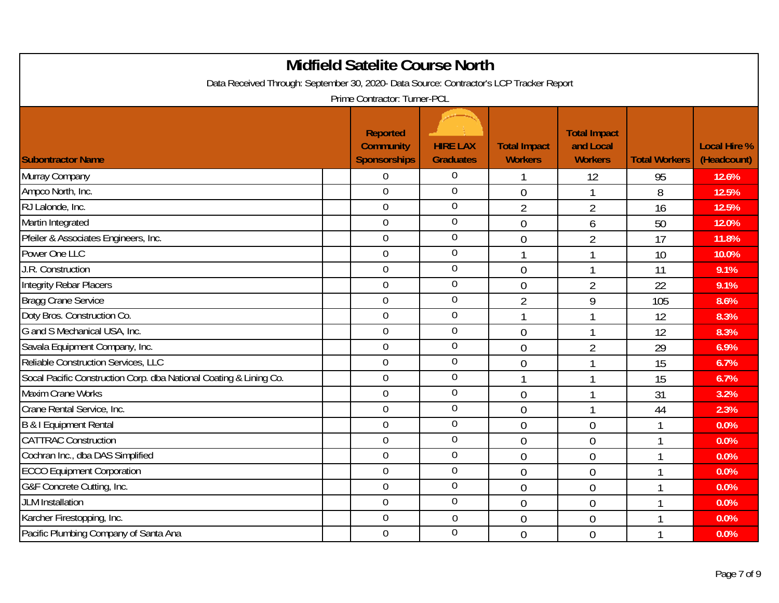|                                                                                         | <b>Midfield Satelite Course North</b>                      |                                     |                                       |                                                    |                      |                                    |
|-----------------------------------------------------------------------------------------|------------------------------------------------------------|-------------------------------------|---------------------------------------|----------------------------------------------------|----------------------|------------------------------------|
| Data Received Through: September 30, 2020- Data Source: Contractor's LCP Tracker Report |                                                            |                                     |                                       |                                                    |                      |                                    |
|                                                                                         | Prime Contractor: Turner-PCL                               |                                     |                                       |                                                    |                      |                                    |
| <b>Subontractor Name</b>                                                                | <b>Reported</b><br><b>Community</b><br><b>Sponsorships</b> | <b>HIRE LAX</b><br><b>Graduates</b> | <b>Total Impact</b><br><b>Workers</b> | <b>Total Impact</b><br>and Local<br><b>Workers</b> | <b>Total Workers</b> | <b>Local Hire %</b><br>(Headcount) |
| Murray Company                                                                          | $\overline{0}$                                             | $\overline{0}$                      |                                       | 12                                                 | 95                   | 12.6%                              |
| Ampco North, Inc.                                                                       | $\overline{0}$                                             | $\mathbf 0$                         | $\overline{0}$                        |                                                    | 8                    | 12.5%                              |
| RJ Lalonde, Inc.                                                                        | $\overline{0}$                                             | $\mathbf 0$                         | $\overline{2}$                        | $\overline{2}$                                     | 16                   | 12.5%                              |
| Martin Integrated                                                                       | $\mathbf 0$                                                | $\boldsymbol{0}$                    | $\overline{0}$                        | 6                                                  | 50                   | 12.0%                              |
| Pfeiler & Associates Engineers, Inc.                                                    | $\boldsymbol{0}$                                           | $\mathbf 0$                         | $\overline{0}$                        | $\overline{2}$                                     | 17                   | 11.8%                              |
| Power One LLC                                                                           | $\overline{0}$                                             | $\overline{0}$                      | $\mathbf{1}$                          |                                                    | 10                   | 10.0%                              |
| J.R. Construction                                                                       | 0                                                          | $\mathbf 0$                         | $\overline{0}$                        |                                                    | 11                   | 9.1%                               |
| <b>Integrity Rebar Placers</b>                                                          | $\overline{0}$                                             | $\mathbf 0$                         | $\overline{0}$                        | $\overline{2}$                                     | 22                   | 9.1%                               |
| <b>Bragg Crane Service</b>                                                              | 0                                                          | $\overline{0}$                      | $\overline{2}$                        | 9                                                  | 105                  | 8.6%                               |
| Doty Bros. Construction Co.                                                             | $\mathbf 0$                                                | $\boldsymbol{0}$                    | 1                                     |                                                    | 12                   | 8.3%                               |
| G and S Mechanical USA, Inc.                                                            | $\mathbf 0$                                                | $\mathbf 0$                         | $\overline{0}$                        | $\mathbf{1}$                                       | 12                   | 8.3%                               |
| Savala Equipment Company, Inc.                                                          | 0                                                          | $\overline{0}$                      | $\overline{0}$                        | $\overline{2}$                                     | 29                   | 6.9%                               |
| Reliable Construction Services, LLC                                                     | $\mathbf 0$                                                | $\mathbf 0$                         | $\overline{0}$                        |                                                    | 15                   | 6.7%                               |
| Socal Pacific Construction Corp. dba National Coating & Lining Co.                      | $\overline{0}$                                             | $\mathbf 0$                         | $\mathbf{1}$                          | 1                                                  | 15                   | 6.7%                               |
| Maxim Crane Works                                                                       | $\mathbf 0$                                                | $\mathbf 0$                         | $\overline{0}$                        |                                                    | 31                   | 3.2%                               |
| Crane Rental Service, Inc.                                                              | $\overline{0}$                                             | $\mathbf 0$                         | $\overline{0}$                        | 1                                                  | 44                   | 2.3%                               |
| B & I Equipment Rental                                                                  | $\mathbf 0$                                                | $\mathbf 0$                         | $\overline{0}$                        | $\overline{0}$                                     | $\overline{1}$       | 0.0%                               |
| <b>CATTRAC Construction</b>                                                             | $\overline{0}$                                             | $\mathbf 0$                         | $\overline{0}$                        | $\overline{0}$                                     | $\overline{1}$       | 0.0%                               |
| Cochran Inc., dba DAS Simplified                                                        | $\mathbf 0$                                                | $\overline{0}$                      | $\overline{0}$                        | $\overline{0}$                                     | 1                    | 0.0%                               |
| <b>ECCO Equipment Corporation</b>                                                       | $\overline{0}$                                             | $\mathbf 0$                         | $\overline{0}$                        | $\overline{0}$                                     | 1                    | 0.0%                               |
| G&F Concrete Cutting, Inc.                                                              | $\mathbf 0$                                                | $\mathbf 0$                         | $\overline{0}$                        | $\overline{0}$                                     | $\overline{1}$       | 0.0%                               |
| <b>JLM</b> Installation                                                                 | $\overline{0}$                                             | $\mathbf 0$                         | $\overline{0}$                        | $\overline{0}$                                     | $\overline{1}$       | 0.0%                               |
| Karcher Firestopping, Inc.                                                              | 0                                                          | 0                                   | $\overline{0}$                        | $\overline{0}$                                     | $\overline{1}$       | 0.0%                               |
| Pacific Plumbing Company of Santa Ana                                                   | $\overline{0}$                                             | $\overline{0}$                      | $\overline{0}$                        | $\overline{0}$                                     |                      | 0.0%                               |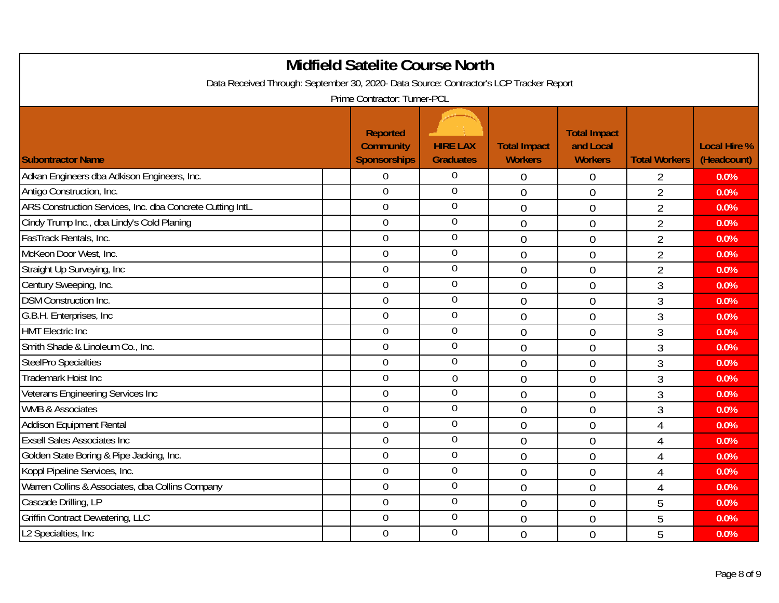|                                                                                         | <b>Midfield Satelite Course North</b>                      |                                     |                                       |                                                    |                      |                                    |
|-----------------------------------------------------------------------------------------|------------------------------------------------------------|-------------------------------------|---------------------------------------|----------------------------------------------------|----------------------|------------------------------------|
| Data Received Through: September 30, 2020- Data Source: Contractor's LCP Tracker Report |                                                            |                                     |                                       |                                                    |                      |                                    |
|                                                                                         | Prime Contractor: Turner-PCL                               |                                     |                                       |                                                    |                      |                                    |
| <b>Subontractor Name</b>                                                                | <b>Reported</b><br><b>Community</b><br><b>Sponsorships</b> | <b>HIRE LAX</b><br><b>Graduates</b> | <b>Total Impact</b><br><b>Workers</b> | <b>Total Impact</b><br>and Local<br><b>Workers</b> | <b>Total Workers</b> | <b>Local Hire %</b><br>(Headcount) |
| Adkan Engineers dba Adkison Engineers, Inc.                                             | $\mathbf 0$                                                | $\mathbf 0$                         | 0                                     | $\theta$                                           | 2                    | 0.0%                               |
| Antigo Construction, Inc.                                                               | $\overline{0}$                                             | $\overline{0}$                      | $\overline{0}$                        | $\overline{0}$                                     | $\overline{2}$       | 0.0%                               |
| ARS Construction Services, Inc. dba Concrete Cutting IntL.                              | $\overline{0}$                                             | $\overline{0}$                      | $\overline{0}$                        | $\overline{0}$                                     | $\overline{2}$       | 0.0%                               |
| Cindy Trump Inc., dba Lindy's Cold Planing                                              | $\boldsymbol{0}$                                           | $\overline{0}$                      | $\overline{0}$                        | $\overline{0}$                                     | $\overline{2}$       | 0.0%                               |
| FasTrack Rentals, Inc.                                                                  | $\mathbf 0$                                                | $\mathbf 0$                         | $\overline{0}$                        | $\overline{0}$                                     | $\overline{2}$       | 0.0%                               |
| McKeon Door West, Inc.                                                                  | $\overline{0}$                                             | $\overline{0}$                      | $\overline{0}$                        | $\overline{0}$                                     | $\overline{2}$       | 0.0%                               |
| Straight Up Surveying, Inc.                                                             | $\mathbf 0$                                                | $\mathbf 0$                         | $\overline{0}$                        | $\overline{0}$                                     | $\overline{2}$       | 0.0%                               |
| Century Sweeping, Inc.                                                                  | $\overline{0}$                                             | $\overline{0}$                      | $\overline{0}$                        | $\theta$                                           | 3                    | 0.0%                               |
| <b>DSM Construction Inc.</b>                                                            | $\overline{0}$                                             | $\mathbf 0$                         | $\overline{0}$                        | $\theta$                                           | 3                    | 0.0%                               |
| G.B.H. Enterprises, Inc.                                                                | $\mathbf 0$                                                | $\mathbf 0$                         | $\overline{0}$                        | $\overline{0}$                                     | $\mathfrak{Z}$       | 0.0%                               |
| <b>HMT Electric Inc</b>                                                                 | $\mathbf 0$                                                | $\boldsymbol{0}$                    | $\overline{0}$                        | $\overline{0}$                                     | $\mathfrak{Z}$       | 0.0%                               |
| Smith Shade & Linoleum Co., Inc.                                                        | $\overline{0}$                                             | $\overline{0}$                      | $\overline{0}$                        | $\theta$                                           | $\mathfrak{Z}$       | 0.0%                               |
| <b>SteelPro Specialties</b>                                                             | $\overline{0}$                                             | 0                                   | $\overline{0}$                        | $\overline{0}$                                     | $\overline{3}$       | 0.0%                               |
| <b>Trademark Hoist Inc</b>                                                              | $\overline{0}$                                             | $\overline{0}$                      | $\overline{0}$                        | $\overline{0}$                                     | $\mathfrak{Z}$       | 0.0%                               |
| Veterans Engineering Services Inc                                                       | $\mathbf 0$                                                | 0                                   | $\overline{0}$                        | $\theta$                                           | $\mathfrak{Z}$       | 0.0%                               |
| <b>WMB &amp; Associates</b>                                                             | $\overline{0}$                                             | $\mathbf 0$                         | $\overline{0}$                        | $\overline{0}$                                     | 3                    | 0.0%                               |
| <b>Addison Equipment Rental</b>                                                         | $\mathbf 0$                                                | $\overline{0}$                      | $\overline{0}$                        | $\overline{0}$                                     | $\overline{4}$       | 0.0%                               |
| <b>Exsell Sales Associates Inc</b>                                                      | $\overline{0}$                                             | $\mathbf 0$                         | $\overline{0}$                        | $\theta$                                           | $\overline{4}$       | 0.0%                               |
| Golden State Boring & Pipe Jacking, Inc.                                                | $\overline{0}$                                             | $\overline{0}$                      | $\overline{0}$                        | $\overline{0}$                                     | $\overline{4}$       | 0.0%                               |
| Koppl Pipeline Services, Inc.                                                           | $\overline{0}$                                             | $\mathbf 0$                         | $\overline{0}$                        | $\overline{0}$                                     | $\overline{4}$       | 0.0%                               |
| Warren Collins & Associates, dba Collins Company                                        | $\mathbf 0$                                                | $\mathbf 0$                         | $\overline{0}$                        | $\overline{0}$                                     | $\overline{4}$       | 0.0%                               |
| Cascade Drilling, LP                                                                    | $\overline{0}$                                             | $\mathbf 0$                         | $\Omega$                              | $\overline{0}$                                     | 5                    | 0.0%                               |
| <b>Griffin Contract Dewatering, LLC</b>                                                 | $\mathbf 0$                                                | $\overline{0}$                      | $\overline{0}$                        | $\overline{0}$                                     | 5                    | 0.0%                               |
| L2 Specialties, Inc.                                                                    | $\mathbf 0$                                                | $\mathbf 0$                         | $\overline{0}$                        | $\theta$                                           | 5                    | 0.0%                               |